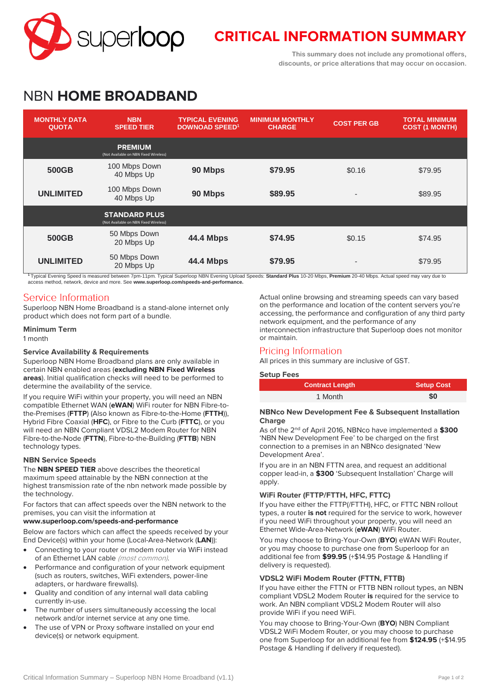

# **CRITICAL INFORMATION SUMMARY**

**This summary does not include any promotional offers, discounts, or price alterations that may occur on occasion.**

# NBN **HOME BROADBAND**

| <b>MONTHLY DATA</b><br><b>QUOTA</b> | <b>NBN</b><br><b>SPEED TIER</b>                               | <b>TYPICAL EVENING</b><br><b>DOWNOAD SPEED<sup>1</sup></b> | <b>MINIMUM MONTHLY</b><br><b>CHARGE</b> | <b>COST PER GB</b>       | <b>TOTAL MINIMUM</b><br><b>COST (1 MONTH)</b> |
|-------------------------------------|---------------------------------------------------------------|------------------------------------------------------------|-----------------------------------------|--------------------------|-----------------------------------------------|
|                                     | <b>PREMIUM</b><br>(Not Available on NBN Fixed Wireless)       |                                                            |                                         |                          |                                               |
| 500GB                               | 100 Mbps Down<br>40 Mbps Up                                   | 90 Mbps                                                    | \$79.95                                 | \$0.16                   | \$79.95                                       |
| <b>UNLIMITED</b>                    | 100 Mbps Down<br>40 Mbps Up                                   | 90 Mbps                                                    | \$89.95                                 | $\overline{\phantom{0}}$ | \$89.95                                       |
|                                     | <b>STANDARD PLUS</b><br>(Not Available on NBN Fixed Wireless) |                                                            |                                         |                          |                                               |
| 500GB                               | 50 Mbps Down<br>20 Mbps Up                                    | <b>44.4 Mbps</b>                                           | \$74.95                                 | \$0.15                   | \$74.95                                       |
| <b>UNLIMITED</b>                    | 50 Mbps Down<br>20 Mbps Up                                    | <b>44.4 Mbps</b>                                           | \$79.95                                 | ۰                        | \$79.95                                       |

**<sup>1</sup>** Typical Evening Speed is measured between 7pm-11pm. Typical Superloop NBN Evening Upload Speeds: **Standard Plus** 10-20 Mbps, **Premium** 20-40 Mbps. Actual speed may vary due to access method, network, device and more. See **[www.superloop.com/speeds-and-performance.](https://www.superloop.com/speeds-and-performance.html)**

## Service Information

Superloop NBN Home Broadband is a stand-alone internet only product which does not form part of a bundle.

## **Minimum Term**

1 month

## **Service Availability & Requirements**

Superloop NBN Home Broadband plans are only available in certain NBN enabled areas (*excluding NBN Fixed Wireless areas*). Initial qualification checks will need to be performed to determine the availability of the service.

If you require WiFi within your property, you will need an NBN compatible Ethernet WAN (**eWAN**) WiFi router for NBN Fibre-tothe-Premises (**FTTP**) (Also known as Fibre-to-the-Home (**FTTH**)), Hybrid Fibre Coaxial (**HFC**), or Fibre to the Curb (**FTTC**), or you will need an NBN Compliant VDSL2 Modem Router for NBN Fibre-to-the-Node (**FTTN**), Fibre-to-the-Building (**FTTB**) NBN technology types.

## **NBN Service Speeds**

The **NBN SPEED TIER** above describes the theoretical maximum speed attainable by the NBN connection at the highest transmission rate of the nbn network made possible by the technology.

For factors that can affect speeds over the NBN network to the premises, you can visit the information at

## **[www.superloop.com/speeds-and-performance](https://www.superloop.com/speeds-and-performance.html)**

Below are factors which can affect the speeds received by your End Device(s) within your home (Local-Area-Network (**LAN**)):

- Connecting to your router or modem router via WiFi instead of an Ethernet LAN cable (most common).
- Performance and configuration of your network equipment (such as routers, switches, WiFi extenders, power-line adapters, or hardware firewalls).
- Quality and condition of any internal wall data cabling currently in-use.
- The number of users simultaneously accessing the local network and/or internet service at any one time.
- The use of VPN or Proxy software installed on your end device(s) or network equipment.

Actual online browsing and streaming speeds can vary based on the performance and location of the content servers you're accessing, the performance and configuration of any third party network equipment, and the performance of any interconnection infrastructure that Superloop does not monitor or maintain.

# Pricing Information

All prices in this summary are inclusive of GST.

**Setup Fees**

| <b>Contract Length</b> | <b>Setup Cost</b> |
|------------------------|-------------------|
| 1 Month                | \$0               |

#### **NBNco New Development Fee & Subsequent Installation Charge**

As of the 2nd of April 2016, NBNco have implemented a **\$300** 'NBN New Development Fee' to be charged on the first connection to a premises in an NBNco designated 'New Development Area'.

If you are in an NBN FTTN area, and request an additional copper lead-in, a **\$300** 'Subsequent Installation' Charge will apply.

## **WiFi Router (FTTP/FTTH, HFC, FTTC)**

If you have either the FTTP(/FTTH), HFC, or FTTC NBN rollout types, a router **is not** required for the service to work, however if you need WiFi throughout your property, you will need an Ethernet Wide-Area-Network (**eWAN**) WiFi Router.

You may choose to Bring-Your-Own (**BYO**) eWAN WiFi Router, or you may choose to purchase one from Superloop for an additional fee from **\$99.95** (+\$14.95 Postage & Handling if delivery is requested).

## **VDSL2 WiFi Modem Router (FTTN, FTTB)**

If you have either the FTTN or FTTB NBN rollout types, an NBN compliant VDSL2 Modem Router **is** required for the service to work. An NBN compliant VDSL2 Modem Router will also provide WiFi if you need WiFi.

You may choose to Bring-Your-Own (**BYO**) NBN Compliant VDSL2 WiFi Modem Router, or you may choose to purchase one from Superloop for an additional fee from **\$124.95** (+\$14.95 Postage & Handling if delivery if requested).